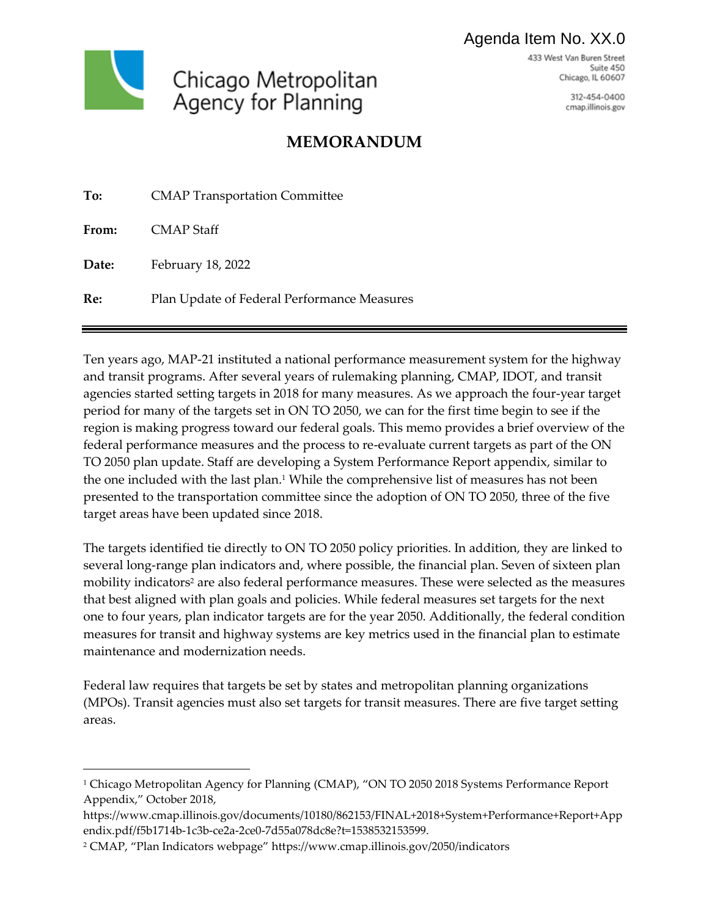## Agenda Item No. XX.0

433 West Van Buren Street Suite 450 Chicago, IL 60607



312-454-0400 cmap.illinois.gov

# **MEMORANDUM**

| To:   | <b>CMAP Transportation Committee</b>        |
|-------|---------------------------------------------|
| From: | CMAP Staff                                  |
| Date: | February 18, 2022                           |
| Re:   | Plan Update of Federal Performance Measures |

Ten years ago, MAP-21 instituted a national performance measurement system for the highway and transit programs. After several years of rulemaking planning, CMAP, IDOT, and transit agencies started setting targets in 2018 for many measures. As we approach the four-year target period for many of the targets set in ON TO 2050, we can for the first time begin to see if the region is making progress toward our federal goals. This memo provides a brief overview of the federal performance measures and the process to re-evaluate current targets as part of the ON TO 2050 plan update. Staff are developing a System Performance Report appendix, similar to the one included with the last plan. <sup>1</sup> While the comprehensive list of measures has not been presented to the transportation committee since the adoption of ON TO 2050, three of the five target areas have been updated since 2018.

The targets identified tie directly to ON TO 2050 policy priorities. In addition, they are linked to several long-range plan indicators and, where possible, the financial plan. Seven of sixteen plan mobility indicators<sup>2</sup> are also federal performance measures. These were selected as the measures that best aligned with plan goals and policies. While federal measures set targets for the next one to four years, plan indicator targets are for the year 2050. Additionally, the federal condition measures for transit and highway systems are key metrics used in the financial plan to estimate maintenance and modernization needs.

Federal law requires that targets be set by states and metropolitan planning organizations (MPOs). Transit agencies must also set targets for transit measures. There are five target setting areas.

 $\overline{a}$ 

<sup>1</sup> Chicago Metropolitan Agency for Planning (CMAP), "ON TO 2050 2018 Systems Performance Report Appendix," October 2018,

https://www.cmap.illinois.gov/documents/10180/862153/FINAL+2018+System+Performance+Report+App endix.pdf/f5b1714b-1c3b-ce2a-2ce0-7d55a078dc8e?t=1538532153599.

<sup>2</sup> CMAP, "Plan Indicators webpage" https://www.cmap.illinois.gov/2050/indicators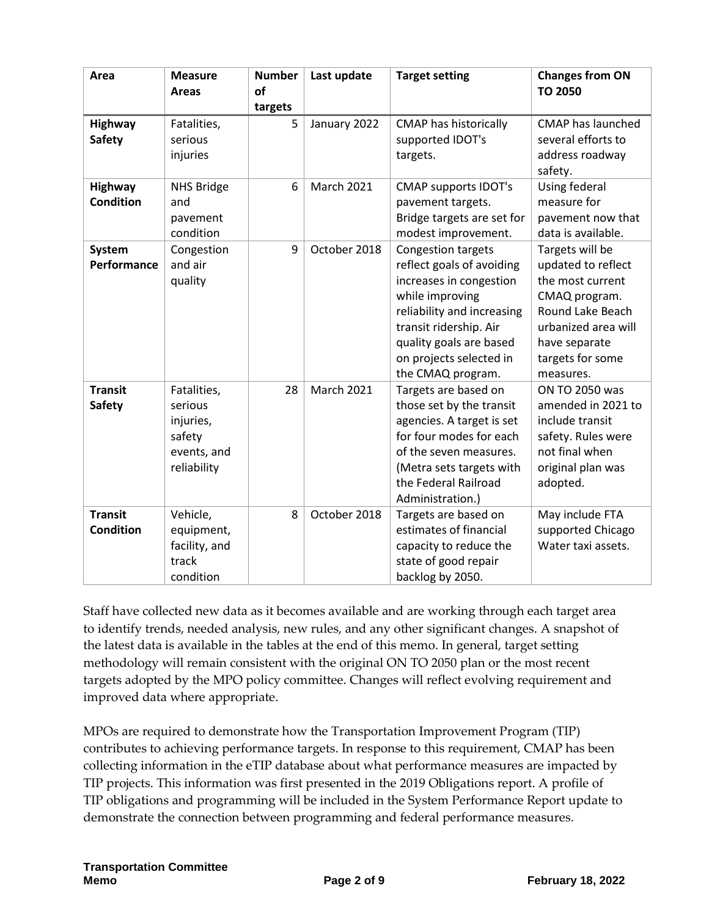| Area                               | <b>Measure</b><br><b>Areas</b>                                              | <b>Number</b><br>of<br>targets | Last update       | <b>Target setting</b>                                                                                                                                                                                                            | <b>Changes from ON</b><br><b>TO 2050</b>                                                                                                                                |
|------------------------------------|-----------------------------------------------------------------------------|--------------------------------|-------------------|----------------------------------------------------------------------------------------------------------------------------------------------------------------------------------------------------------------------------------|-------------------------------------------------------------------------------------------------------------------------------------------------------------------------|
| Highway<br><b>Safety</b>           | Fatalities,<br>serious<br>injuries                                          | 5                              | January 2022      | <b>CMAP has historically</b><br>supported IDOT's<br>targets.                                                                                                                                                                     | <b>CMAP has launched</b><br>several efforts to<br>address roadway<br>safety.                                                                                            |
| <b>Highway</b><br><b>Condition</b> | <b>NHS Bridge</b><br>and<br>pavement<br>condition                           | 6                              | <b>March 2021</b> | <b>CMAP supports IDOT's</b><br>pavement targets.<br>Bridge targets are set for<br>modest improvement.                                                                                                                            | Using federal<br>measure for<br>pavement now that<br>data is available.                                                                                                 |
| System<br>Performance              | Congestion<br>and air<br>quality                                            | 9                              | October 2018      | Congestion targets<br>reflect goals of avoiding<br>increases in congestion<br>while improving<br>reliability and increasing<br>transit ridership. Air<br>quality goals are based<br>on projects selected in<br>the CMAQ program. | Targets will be<br>updated to reflect<br>the most current<br>CMAQ program.<br>Round Lake Beach<br>urbanized area will<br>have separate<br>targets for some<br>measures. |
| <b>Transit</b><br><b>Safety</b>    | Fatalities,<br>serious<br>injuries,<br>safety<br>events, and<br>reliability | 28                             | <b>March 2021</b> | Targets are based on<br>those set by the transit<br>agencies. A target is set<br>for four modes for each<br>of the seven measures.<br>(Metra sets targets with<br>the Federal Railroad<br>Administration.)                       | ON TO 2050 was<br>amended in 2021 to<br>include transit<br>safety. Rules were<br>not final when<br>original plan was<br>adopted.                                        |
| <b>Transit</b><br><b>Condition</b> | Vehicle,<br>equipment,<br>facility, and<br>track<br>condition               | 8                              | October 2018      | Targets are based on<br>estimates of financial<br>capacity to reduce the<br>state of good repair<br>backlog by 2050.                                                                                                             | May include FTA<br>supported Chicago<br>Water taxi assets.                                                                                                              |

Staff have collected new data as it becomes available and are working through each target area to identify trends, needed analysis, new rules, and any other significant changes. A snapshot of the latest data is available in the tables at the end of this memo. In general, target setting methodology will remain consistent with the original ON TO 2050 plan or the most recent targets adopted by the MPO policy committee. Changes will reflect evolving requirement and improved data where appropriate.

MPOs are required to demonstrate how the Transportation Improvement Program (TIP) contributes to achieving performance targets. In response to this requirement, CMAP has been collecting information in the eTIP database about what performance measures are impacted by TIP projects. This information was first presented in the 2019 Obligations report. A profile of TIP obligations and programming will be included in the System Performance Report update to demonstrate the connection between programming and federal performance measures.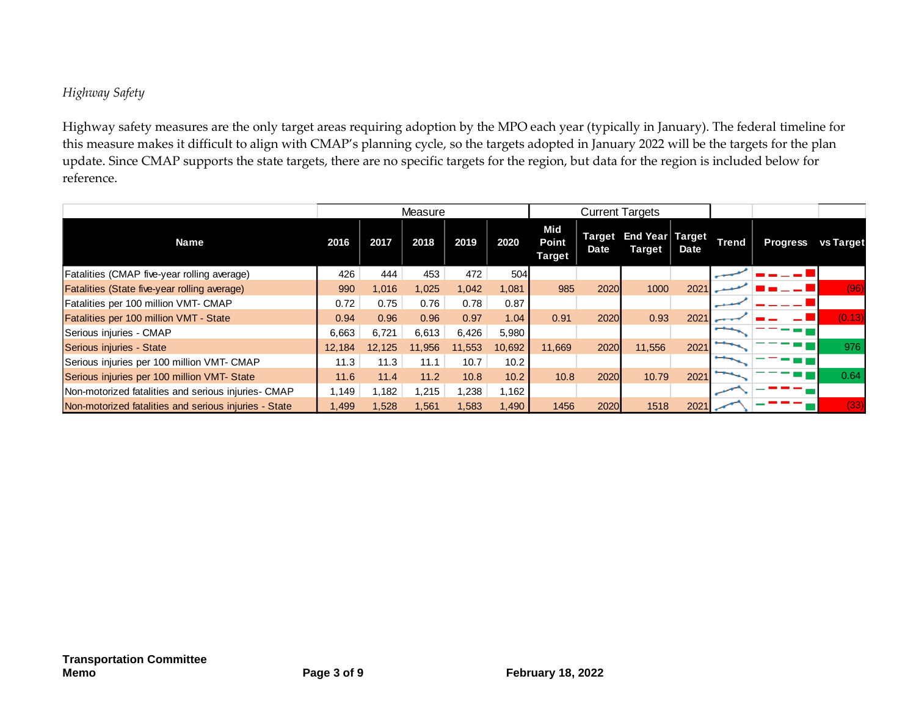### *Highway Safety*

Highway safety measures are the only target areas requiring adoption by the MPO each year (typically in January). The federal timeline for this measure makes it difficult to align with CMAP's planning cycle, so the targets adopted in January 2022 will be the targets for the plan update. Since CMAP supports the state targets, there are no specific targets for the region, but data for the region is included below for reference.

|                                                       | Measure |        |        |        |        |                                      |                       | <b>Current Targets</b>    |      |              |                 |                  |
|-------------------------------------------------------|---------|--------|--------|--------|--------|--------------------------------------|-----------------------|---------------------------|------|--------------|-----------------|------------------|
| <b>Name</b>                                           | 2016    | 2017   | 2018   | 2019   | 2020   | Mid<br><b>Point</b><br><b>Target</b> | <b>Target</b><br>Date | End Year Target<br>Target | Date | <b>Trend</b> | <b>Progress</b> | <b>vs Target</b> |
| Fatalities (CMAP five-year rolling average)           | 426     | 444    | 453    | 472    | 504    |                                      |                       |                           |      |              |                 |                  |
| Fatalities (State five-year rolling average)          | 990     | 1,016  | 1,025  | 1,042  | 1,081  | 985                                  | 2020                  | 1000                      | 2021 |              |                 | (96)             |
| Fatalities per 100 million VMT- CMAP                  |         | 0.75   | 0.76   | 0.78   | 0.87   |                                      |                       |                           |      |              |                 |                  |
| Fatalities per 100 million VMT - State                | 0.94    | 0.96   | 0.96   | 0.97   | 1.04   | 0.91                                 | 2020                  | 0.93                      | 2021 |              |                 | (0.13)           |
| Serious injuries - CMAP                               | 6,663   | 6.721  | 6,613  | 6,426  | 5,980  |                                      |                       |                           |      |              |                 |                  |
| Serious injuries - State                              | 12,184  | 12.125 | 11,956 | 11,553 | 10,692 | 11.669                               | 2020                  | 11,556                    | 2021 |              |                 | 976              |
| Serious injuries per 100 million VMT- CMAP            | 11.3    | 11.3   | 11.1   | 10.7   | 10.2   |                                      |                       |                           |      |              |                 |                  |
| Serious injuries per 100 million VMT- State           | 11.6    | 11.4   | 11.2   | 10.8   | 10.2   | 10.8                                 | 2020                  | 10.79                     | 2021 |              |                 | 0.64             |
| Non-motorized fatalities and serious injuries- CMAP   | 1.149   | 1,182  | 1,215  | 1,238  | 1,162  |                                      |                       |                           |      |              |                 |                  |
| Non-motorized fatalities and serious injuries - State | I,499   | 1,528  | 1,561  | 1,583  | 1,490  | 1456                                 | 2020                  | 1518                      | 2021 |              |                 | (33)             |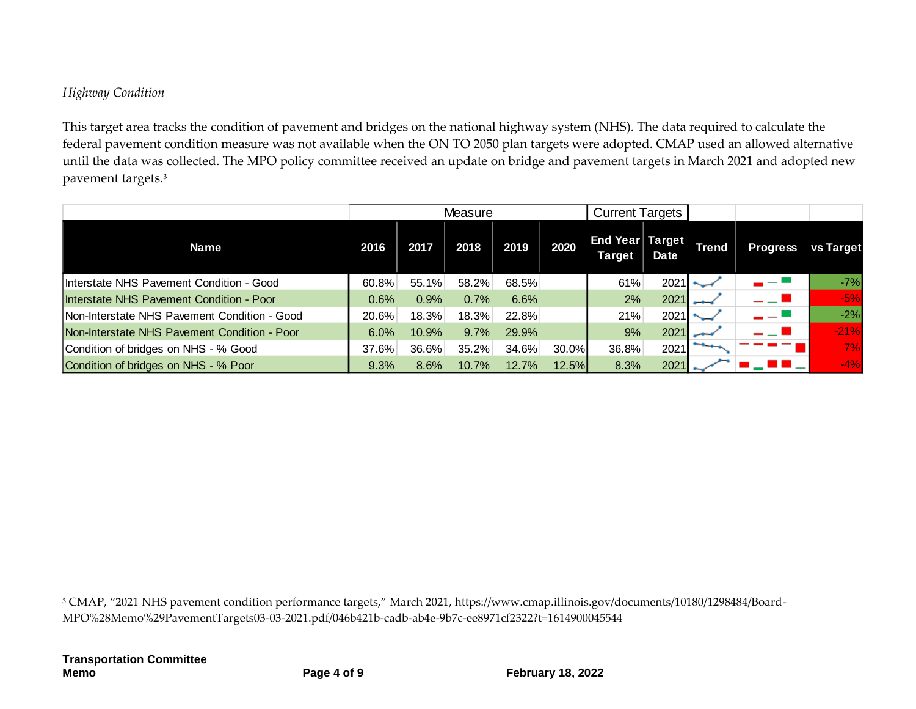## *Highway Condition*

This target area tracks the condition of pavement and bridges on the national highway system (NHS). The data required to calculate the federal pavement condition measure was not available when the ON TO 2050 plan targets were adopted. CMAP used an allowed alternative until the data was collected. The MPO policy committee received an update on bridge and pavement targets in March 2021 and adopted new pavement targets. 3

|                                              |          |       | Measure |       |       | <b>Current Targets</b>           |             |              |                 |           |
|----------------------------------------------|----------|-------|---------|-------|-------|----------------------------------|-------------|--------------|-----------------|-----------|
| <b>Name</b>                                  | 2016     | 2017  | 2018    | 2019  | 2020  | End Year Target<br><b>Target</b> | <b>Date</b> | <b>Trend</b> | <b>Progress</b> | vs Target |
| Interstate NHS Pavement Condition - Good     | 60.8%    | 55.1% | 58.2%   | 68.5% |       | 61%                              | 2021        |              |                 | $-7%$     |
| Interstate NHS Pavement Condition - Poor     | 0.6%     | 0.9%  | 0.7%    | 6.6%  |       | 2%                               | 2021        | سم           |                 | $-5%$     |
| Non-Interstate NHS Pavement Condition - Good | $20.6\%$ | 18.3% | 18.3%   | 22.8% |       | 21%                              | 2021        |              |                 | $-2%$     |
| Non-Interstate NHS Pavement Condition - Poor | 6.0%     | 10.9% | 9.7%    | 29.9% |       | 9%                               | 2021        |              | — 1             | $-21%$    |
| Condition of bridges on NHS - % Good         | 37.6%    | 36.6% | 35.2%   | 34.6% | 30.0% | 36.8%                            | 2021        |              |                 | 7%        |
| Condition of bridges on NHS - % Poor         | 9.3%     | 8.6%  | 10.7%   | 12.7% | 12.5% | 8.3%                             | 2021        |              |                 | $-4%$     |

1

<sup>3</sup> CMAP, "2021 NHS pavement condition performance targets," March 2021, https://www.cmap.illinois.gov/documents/10180/1298484/Board-MPO%28Memo%29PavementTargets03-03-2021.pdf/046b421b-cadb-ab4e-9b7c-ee8971cf2322?t=1614900045544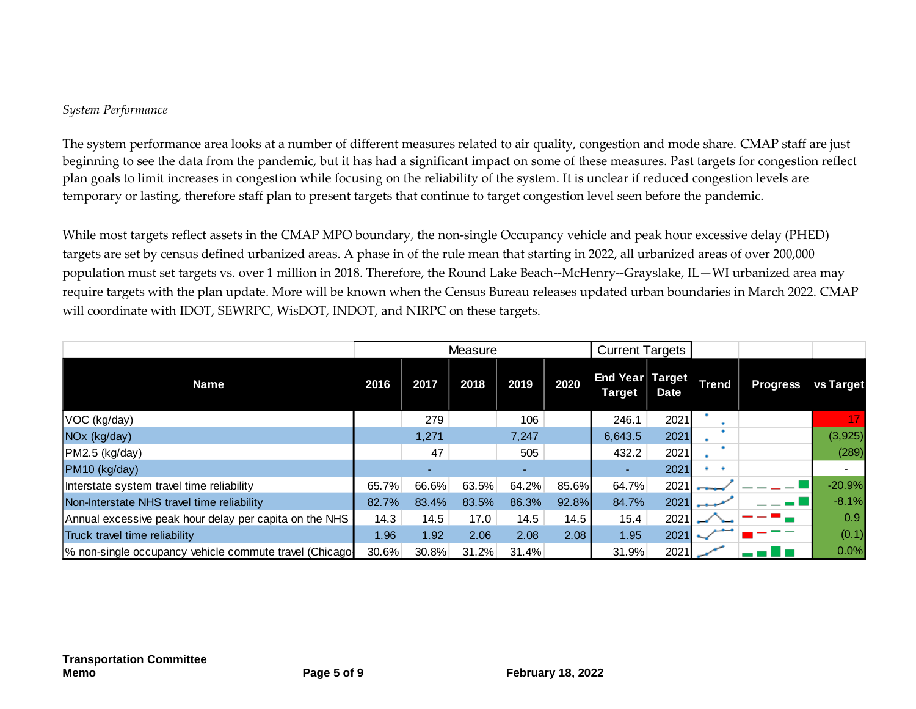#### *System Performance*

The system performance area looks at a number of different measures related to air quality, congestion and mode share. CMAP staff are just beginning to see the data from the pandemic, but it has had a significant impact on some of these measures. Past targets for congestion reflect plan goals to limit increases in congestion while focusing on the reliability of the system. It is unclear if reduced congestion levels are temporary or lasting, therefore staff plan to present targets that continue to target congestion level seen before the pandemic.

While most targets reflect assets in the CMAP MPO boundary, the non-single Occupancy vehicle and peak hour excessive delay (PHED) targets are set by census defined urbanized areas. A phase in of the rule mean that starting in 2022, all urbanized areas of over 200,000 population must set targets vs. over 1 million in 2018. Therefore, the Round Lake Beach--McHenry--Grayslake, IL—WI urbanized area may require targets with the plan update. More will be known when the Census Bureau releases updated urban boundaries in March 2022. CMAP will coordinate with IDOT, SEWRPC, WisDOT, INDOT, and NIRPC on these targets.

|                                                        |       | Measure |       | <b>Current Targets</b> |       |                           |             |              |                 |           |
|--------------------------------------------------------|-------|---------|-------|------------------------|-------|---------------------------|-------------|--------------|-----------------|-----------|
| <b>Name</b>                                            | 2016  | 2017    | 2018  | 2019                   | 2020  | End Year Target<br>Target | <b>Date</b> | <b>Trend</b> | <b>Progress</b> | vs Target |
| VOC (kg/day)                                           |       | 279     |       | 106                    |       | 246.1                     | 2021        |              |                 |           |
| NO <sub>x</sub> (kg/day)                               |       | 1,271   |       | 7,247                  |       | 6,643.5                   | 2021        |              |                 | (3,925)   |
| PM2.5 (kg/day)                                         |       | 47      |       | 505                    |       | 432.2                     | 2021        |              |                 | (289)     |
| PM10 (kg/day)                                          |       | $\sim$  |       |                        |       |                           | 2021        |              |                 |           |
| Interstate system travel time reliability              | 65.7% | 66.6%   | 63.5% | 64.2%                  | 85.6% | 64.7%                     | 2021        |              |                 | $-20.9%$  |
| Non-Interstate NHS travel time reliability             | 82.7% | 83.4%   | 83.5% | 86.3%                  | 92.8% | 84.7%                     | 2021        |              |                 | $-8.1%$   |
| Annual excessive peak hour delay per capita on the NHS | 14.3  | 14.5    | 17.0  | 14.5                   | 14.5  | 15.4                      | 2021        |              |                 | 0.9       |
| Truck travel time reliability                          | 1.96  | 1.92    | 2.06  | 2.08                   | 2.08  | 1.95                      | 2021        |              |                 | (0.1)     |
| % non-single occupancy vehicle commute travel (Chicago | 30.6% | 30.8%   | 31.2% | 31.4%                  |       | 31.9%                     | 2021        |              |                 | 0.0%      |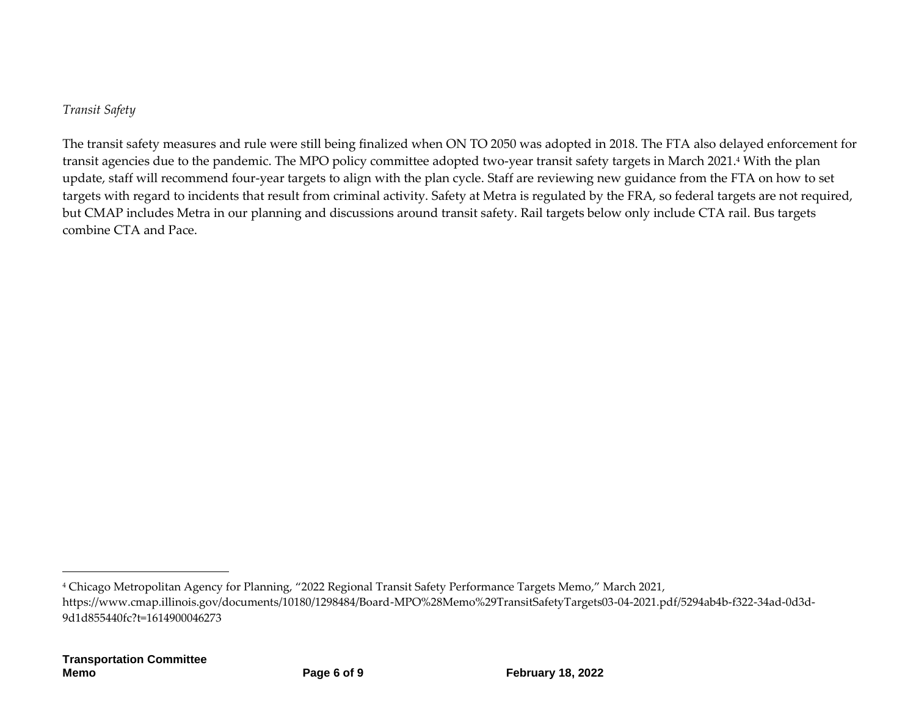*Transit Safety*

The transit safety measures and rule were still being finalized when ON TO 2050 was adopted in 2018. The FTA also delayed enforcement for transit agencies due to the pandemic. The MPO policy committee adopted two-year transit safety targets in March 2021. <sup>4</sup> With the plan update, staff will recommend four-year targets to align with the plan cycle. Staff are reviewing new guidance from the FTA on how to set targets with regard to incidents that result from criminal activity. Safety at Metra is regulated by the FRA, so federal targets are not required, but CMAP includes Metra in our planning and discussions around transit safety. Rail targets below only include CTA rail. Bus targets combine CTA and Pace.

 $\overline{a}$ 

<sup>4</sup> Chicago Metropolitan Agency for Planning, "2022 Regional Transit Safety Performance Targets Memo," March 2021, https://www.cmap.illinois.gov/documents/10180/1298484/Board-MPO%28Memo%29TransitSafetyTargets03-04-2021.pdf/5294ab4b-f322-34ad-0d3d-9d1d855440fc?t=1614900046273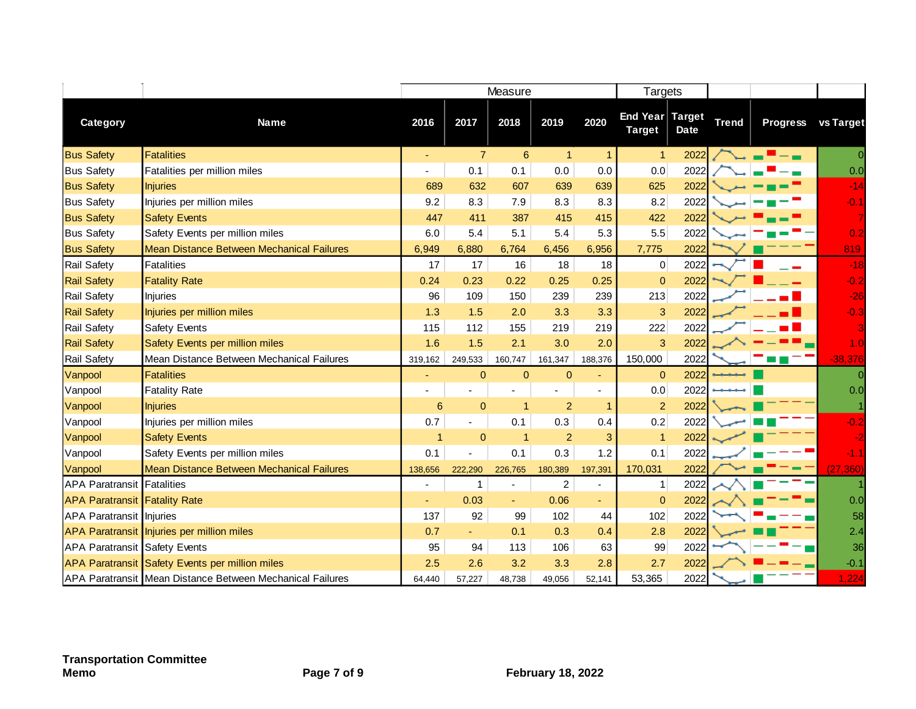|                                      |                                                           | Measure              |                |                          |                |                          | Targets                          |             |              |                 |                |
|--------------------------------------|-----------------------------------------------------------|----------------------|----------------|--------------------------|----------------|--------------------------|----------------------------------|-------------|--------------|-----------------|----------------|
| Category                             | <b>Name</b>                                               | 2016                 | 2017           | 2018                     | 2019           | 2020                     | End Year Target<br><b>Target</b> | <b>Date</b> | <b>Trend</b> | <b>Progress</b> | vs Target      |
| <b>Bus Safety</b>                    | <b>Fatalities</b>                                         | ٠                    | $\overline{7}$ | $\boldsymbol{6}$         | $\mathbf{1}$   | $\overline{1}$           | $\overline{1}$                   | 2022        |              |                 | $\overline{0}$ |
| <b>Bus Safety</b>                    | Fatalities per million miles                              |                      | 0.1            | 0.1                      | 0.0            | 0.0                      | 0.0                              | 2022        |              |                 | 0.0            |
| <b>Bus Safety</b>                    | <b>Injuries</b>                                           | 689                  | 632            | 607                      | 639            | 639                      | 625                              | 2022        |              |                 | $-14$          |
| <b>Bus Safety</b>                    | Injuries per million miles                                | 9.2                  | 8.3            | 7.9                      | 8.3            | 8.3                      | 8.2                              | 2022        |              |                 | $-0.1$         |
| <b>Bus Safety</b>                    | <b>Safety Events</b>                                      | 447                  | 411            | 387                      | 415            | 415                      | 422                              | 2022        |              |                 |                |
| <b>Bus Safety</b>                    | Safety Events per million miles                           | 6.0                  | 5.4            | 5.1                      | 5.4            | 5.3                      | 5.5                              | 2022        |              |                 | 0.2            |
| <b>Bus Safety</b>                    | Mean Distance Between Mechanical Failures                 | 6,949                | 6,880          | 6,764                    | 6,456          | 6,956                    | 7,775                            | 2022        |              |                 | 819            |
| Rail Safety                          | Fatalities                                                | 17                   | 17             | 16                       | 18             | 18                       | $\overline{0}$                   | 2022        |              |                 | $-18$          |
| <b>Rail Safety</b>                   | <b>Fatality Rate</b>                                      | 0.24                 | 0.23           | 0.22                     | 0.25           | 0.25                     | $\overline{0}$                   | 2022        |              |                 | $-0.2$         |
| Rail Safety                          | Injuries                                                  | 96                   | 109            | 150                      | 239            | 239                      | 213                              | 2022        |              |                 | $-26$          |
| <b>Rail Safety</b>                   | Injuries per million miles                                | 1.3                  | 1.5            | 2.0                      | 3.3            | 3.3                      | 3                                | 2022        |              |                 | $-0.3$         |
| Rail Safety                          | Safety Events                                             | 115                  | 112            | 155                      | 219            | 219                      | 222                              | 2022        |              |                 |                |
| <b>Rail Safety</b>                   | Safety Events per million miles                           | 1.6                  | 1.5            | 2.1                      | 3.0            | 2.0                      | 3                                | 2022        |              |                 | 1.0            |
| Rail Safety                          | Mean Distance Between Mechanical Failures                 | 319,162              | 249,533        | 160,747                  | 161,347        | 188,376                  | 150,000                          | 2022        |              |                 | $-38,376$      |
| Vanpool                              | <b>Fatalities</b>                                         |                      | $\mathbf 0$    | $\pmb{0}$                | $\bf 0$        | ä,                       | $\overline{0}$                   | 2022        |              |                 |                |
| Vanpool                              | <b>Fatality Rate</b>                                      |                      | ä,             | $\overline{\phantom{a}}$ | ÷,             | $\overline{\phantom{a}}$ | 0.0                              | 2022        |              |                 | 0.0            |
| Vanpool                              | <b>Injuries</b>                                           | 6                    | $\overline{0}$ | $\blacktriangleleft$     | $\overline{2}$ | -1                       | 2                                | 2022        |              |                 |                |
| Vanpool                              | Injuries per million miles                                | 0.7                  | ä,             | 0.1                      | 0.3            | 0.4                      | 0.2                              | 2022        |              |                 | $-0.2$         |
| Vanpool                              | <b>Safety Events</b>                                      | $\blacktriangleleft$ | $\overline{0}$ | $\blacktriangleleft$     | $\overline{2}$ | 3                        | $\overline{1}$                   | 2022        |              |                 |                |
| Vanpool                              | Safety Events per million miles                           | 0.1                  |                | 0.1                      | 0.3            | 1.2                      | 0.1                              | 2022        |              |                 | $-1.1$         |
| Vanpool                              | Mean Distance Between Mechanical Failures                 | 138,656              | 222,290        | 226,765                  | 180,389        | 197,391                  | 170,031                          | 2022        |              |                 | (27, 360)      |
| <b>APA Paratransit Fatalities</b>    |                                                           |                      | 1              | ä,                       | $\overline{c}$ | ÷.                       | $\mathbf{1}$                     | 2022        |              |                 |                |
| <b>APA Paratransit Fatality Rate</b> |                                                           |                      | 0.03           | ٠                        | 0.06           | ÷                        | $\overline{0}$                   | 2022        |              |                 | 0.0            |
| <b>APA Paratransit Injuries</b>      |                                                           | 137                  | 92             | 99                       | 102            | 44                       | 102                              | 2022        |              |                 | 58             |
|                                      | APA Paratransit Injuries per million miles                | 0.7                  | ÷.             | 0.1                      | 0.3            | 0.4                      | 2.8                              | 2022        |              |                 | 2.4            |
| <b>APA Paratransit Safety Events</b> |                                                           | 95                   | 94             | 113                      | 106            | 63                       | 99                               | 2022        |              |                 | 36             |
|                                      | APA Paratransit Safety Events per million miles           | 2.5                  | 2.6            | 3.2                      | 3.3            | 2.8                      | 2.7                              | 2022        |              |                 | $-0.1$         |
|                                      | APA Paratransit Mean Distance Between Mechanical Failures | 64,440               | 57,227         | 48,738                   | 49,056         | 52,141                   | 53,365                           | 2022        |              |                 | 1,224          |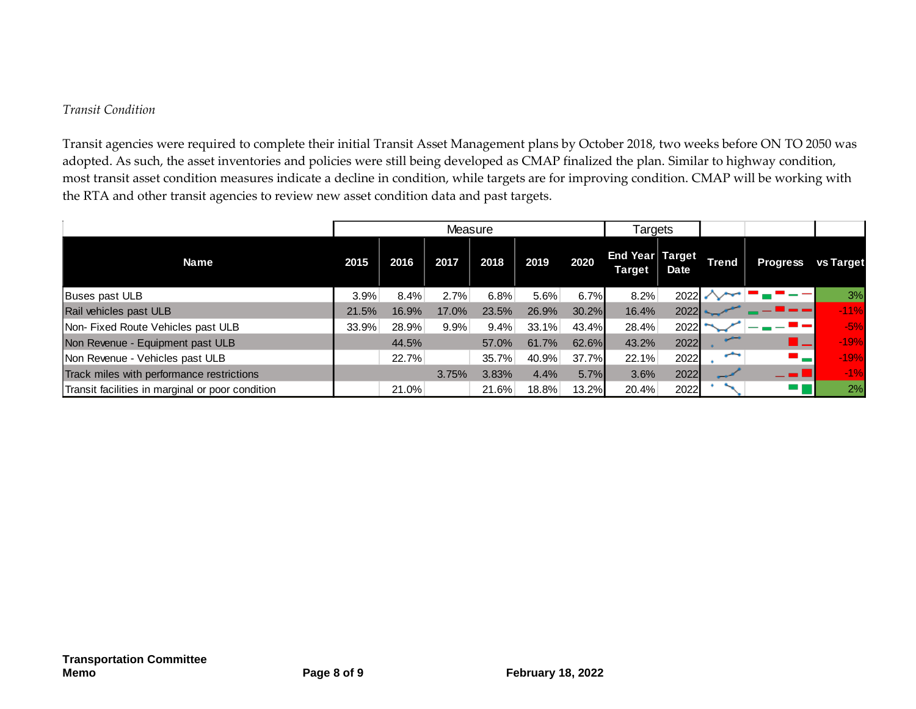#### *Transit Condition*

Transit agencies were required to complete their initial Transit Asset Management plans by October 2018, two weeks before ON TO 2050 was adopted. As such, the asset inventories and policies were still being developed as CMAP finalized the plan. Similar to highway condition, most transit asset condition measures indicate a decline in condition, while targets are for improving condition. CMAP will be working with the RTA and other transit agencies to review new asset condition data and past targets.

|                                                  |       |       | Measure |       |       | Targets |                           |      |              |                 |           |
|--------------------------------------------------|-------|-------|---------|-------|-------|---------|---------------------------|------|--------------|-----------------|-----------|
| <b>Name</b>                                      | 2015  | 2016  | 2017    | 2018  | 2019  | 2020    | End Year Target<br>Target | Date | <b>Trend</b> | <b>Progress</b> | vs Target |
| Buses past ULB                                   | 3.9%  | 8.4%  | 2.7%    | 6.8%  | 5.6%  | 6.7%    | 8.2%                      | 2022 |              |                 | 3%        |
| Rail vehicles past ULB                           | 21.5% | 16.9% | 17.0%   | 23.5% | 26.9% | 30.2%   | 16.4%                     | 2022 |              |                 | $-11%$    |
| Non-Fixed Route Vehicles past ULB                | 33.9% | 28.9% | 9.9%    | 9.4%  | 33.1% | 43.4%   | 28.4%                     | 2022 |              |                 | $-5%$     |
| Non Revenue - Equipment past ULB                 |       | 44.5% |         | 57.0% | 61.7% | 62.6%   | 43.2%                     | 2022 | استعملت      |                 | $-19%$    |
| Non Revenue - Vehicles past ULB                  |       | 22.7% |         | 35.7% | 40.9% | 37.7%   | 22.1%                     | 2022 | ∽            | - -             | $-19%$    |
| Track miles with performance restrictions        |       |       | 3.75%   | 3.83% | 4.4%  | 5.7%    | 3.6%                      | 2022 |              | - 1             | $-1%$     |
| Transit facilities in marginal or poor condition |       | 21.0% |         | 21.6% | 18.8% | 13.2%   | 20.4%                     | 2022 |              |                 | 2%        |